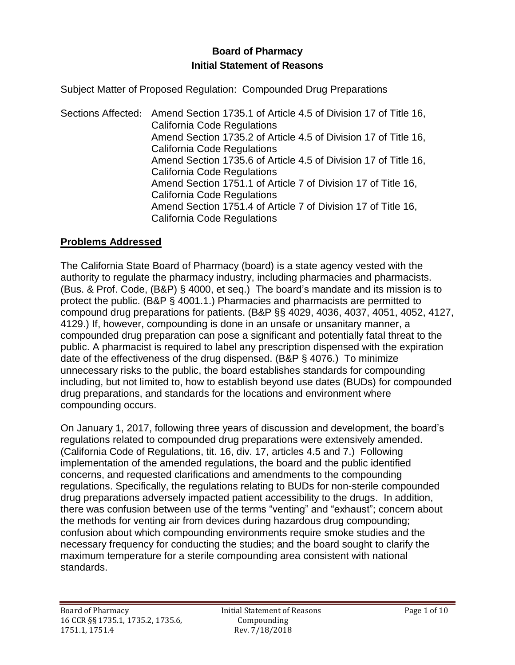# **Board of Pharmacy Initial Statement of Reasons**

Subject Matter of Proposed Regulation: Compounded Drug Preparations

Sections Affected: Amend Section 1735.1 of Article 4.5 of Division 17 of Title 16, California Code Regulations Amend Section 1735.2 of Article 4.5 of Division 17 of Title 16, California Code Regulations Amend Section 1735.6 of Article 4.5 of Division 17 of Title 16, California Code Regulations Amend Section 1751.1 of Article 7 of Division 17 of Title 16, California Code Regulations Amend Section 1751.4 of Article 7 of Division 17 of Title 16, California Code Regulations

## **Problems Addressed**

The California State Board of Pharmacy (board) is a state agency vested with the authority to regulate the pharmacy industry, including pharmacies and pharmacists. (Bus. & Prof. Code, (B&P) § 4000, et seq.) The board's mandate and its mission is to protect the public. (B&P § 4001.1.) Pharmacies and pharmacists are permitted to compound drug preparations for patients. (B&P §§ 4029, 4036, 4037, 4051, 4052, 4127, 4129.) If, however, compounding is done in an unsafe or unsanitary manner, a compounded drug preparation can pose a significant and potentially fatal threat to the public. A pharmacist is required to label any prescription dispensed with the expiration date of the effectiveness of the drug dispensed. (B&P § 4076.) To minimize unnecessary risks to the public, the board establishes standards for compounding including, but not limited to, how to establish beyond use dates (BUDs) for compounded drug preparations, and standards for the locations and environment where compounding occurs.

On January 1, 2017, following three years of discussion and development, the board's regulations related to compounded drug preparations were extensively amended. (California Code of Regulations, tit. 16, div. 17, articles 4.5 and 7.) Following implementation of the amended regulations, the board and the public identified concerns, and requested clarifications and amendments to the compounding regulations. Specifically, the regulations relating to BUDs for non-sterile compounded drug preparations adversely impacted patient accessibility to the drugs. In addition, there was confusion between use of the terms "venting" and "exhaust"; concern about the methods for venting air from devices during hazardous drug compounding; confusion about which compounding environments require smoke studies and the necessary frequency for conducting the studies; and the board sought to clarify the maximum temperature for a sterile compounding area consistent with national standards.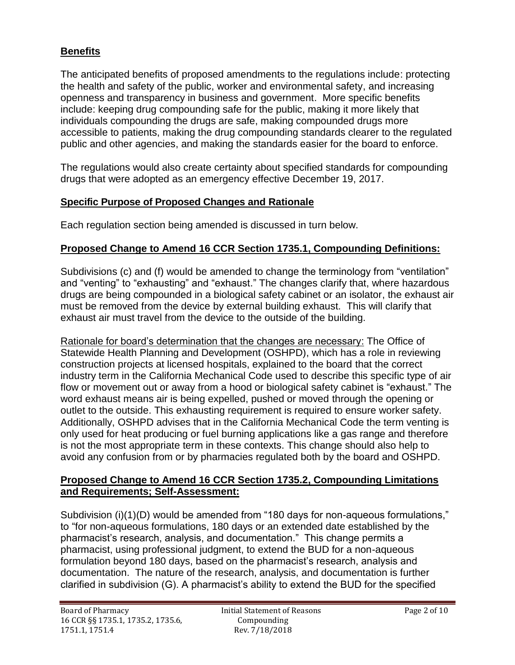## **Benefits**

The anticipated benefits of proposed amendments to the regulations include: protecting the health and safety of the public, worker and environmental safety, and increasing openness and transparency in business and government. More specific benefits include: keeping drug compounding safe for the public, making it more likely that individuals compounding the drugs are safe, making compounded drugs more accessible to patients, making the drug compounding standards clearer to the regulated public and other agencies, and making the standards easier for the board to enforce.

The regulations would also create certainty about specified standards for compounding drugs that were adopted as an emergency effective December 19, 2017.

### **Specific Purpose of Proposed Changes and Rationale**

Each regulation section being amended is discussed in turn below.

## **Proposed Change to Amend 16 CCR Section 1735.1, Compounding Definitions:**

Subdivisions (c) and (f) would be amended to change the terminology from "ventilation" and "venting" to "exhausting" and "exhaust." The changes clarify that, where hazardous drugs are being compounded in a biological safety cabinet or an isolator, the exhaust air must be removed from the device by external building exhaust. This will clarify that exhaust air must travel from the device to the outside of the building.

Rationale for board's determination that the changes are necessary: The Office of Statewide Health Planning and Development (OSHPD), which has a role in reviewing construction projects at licensed hospitals, explained to the board that the correct industry term in the California Mechanical Code used to describe this specific type of air flow or movement out or away from a hood or biological safety cabinet is "exhaust." The word exhaust means air is being expelled, pushed or moved through the opening or outlet to the outside. This exhausting requirement is required to ensure worker safety. Additionally, OSHPD advises that in the California Mechanical Code the term venting is only used for heat producing or fuel burning applications like a gas range and therefore is not the most appropriate term in these contexts. This change should also help to avoid any confusion from or by pharmacies regulated both by the board and OSHPD.

#### **Proposed Change to Amend 16 CCR Section 1735.2, Compounding Limitations and Requirements; Self-Assessment:**

Subdivision (i)(1)(D) would be amended from "180 days for non-aqueous formulations," to "for non-aqueous formulations, 180 days or an extended date established by the pharmacist's research, analysis, and documentation." This change permits a pharmacist, using professional judgment, to extend the BUD for a non-aqueous formulation beyond 180 days, based on the pharmacist's research, analysis and documentation. The nature of the research, analysis, and documentation is further clarified in subdivision (G). A pharmacist's ability to extend the BUD for the specified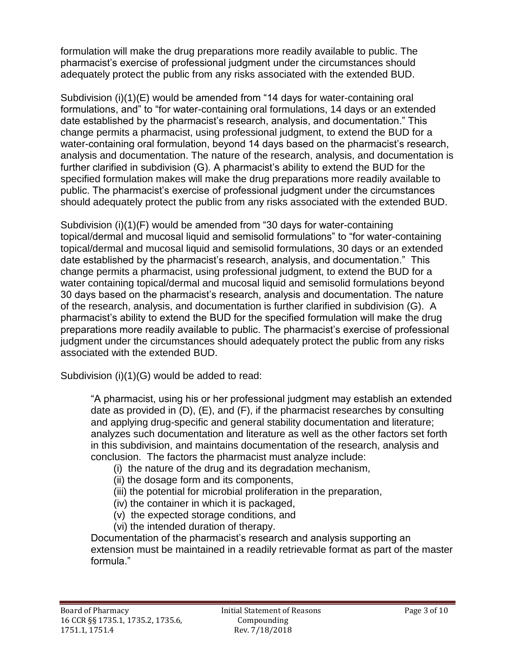formulation will make the drug preparations more readily available to public. The pharmacist's exercise of professional judgment under the circumstances should adequately protect the public from any risks associated with the extended BUD.

Subdivision (i)(1)(E) would be amended from "14 days for water-containing oral formulations, and" to "for water-containing oral formulations, 14 days or an extended date established by the pharmacist's research, analysis, and documentation." This change permits a pharmacist, using professional judgment, to extend the BUD for a water-containing oral formulation, beyond 14 days based on the pharmacist's research, analysis and documentation. The nature of the research, analysis, and documentation is further clarified in subdivision (G). A pharmacist's ability to extend the BUD for the specified formulation makes will make the drug preparations more readily available to public. The pharmacist's exercise of professional judgment under the circumstances should adequately protect the public from any risks associated with the extended BUD.

Subdivision (i)(1)(F) would be amended from "30 days for water-containing topical/dermal and mucosal liquid and semisolid formulations" to "for water-containing topical/dermal and mucosal liquid and semisolid formulations, 30 days or an extended date established by the pharmacist's research, analysis, and documentation." This change permits a pharmacist, using professional judgment, to extend the BUD for a water containing topical/dermal and mucosal liquid and semisolid formulations beyond 30 days based on the pharmacist's research, analysis and documentation. The nature of the research, analysis, and documentation is further clarified in subdivision (G). A pharmacist's ability to extend the BUD for the specified formulation will make the drug preparations more readily available to public. The pharmacist's exercise of professional iudament under the circumstances should adequately protect the public from any risks associated with the extended BUD.

Subdivision (i)(1)(G) would be added to read:

"A pharmacist, using his or her professional judgment may establish an extended date as provided in (D), (E), and (F), if the pharmacist researches by consulting and applying drug-specific and general stability documentation and literature; analyzes such documentation and literature as well as the other factors set forth in this subdivision, and maintains documentation of the research, analysis and conclusion. The factors the pharmacist must analyze include:

- (i) the nature of the drug and its degradation mechanism,
- (ii) the dosage form and its components,
- (iii) the potential for microbial proliferation in the preparation,
- (iv) the container in which it is packaged,
- (v) the expected storage conditions, and
- (vi) the intended duration of therapy.

Documentation of the pharmacist's research and analysis supporting an extension must be maintained in a readily retrievable format as part of the master formula."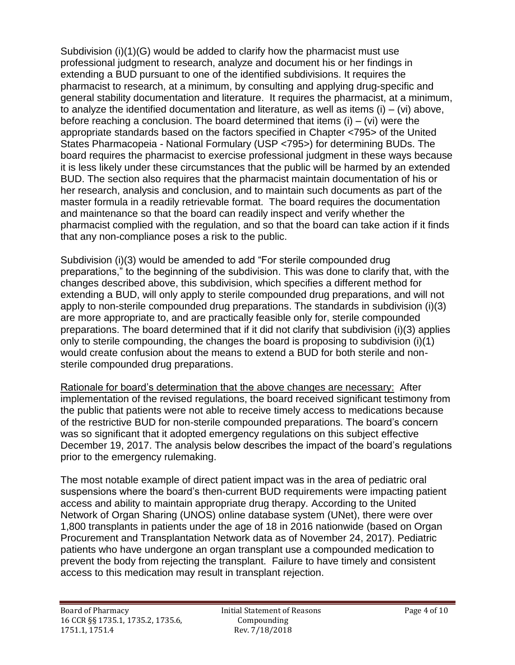Subdivision (i)(1)(G) would be added to clarify how the pharmacist must use professional judgment to research, analyze and document his or her findings in extending a BUD pursuant to one of the identified subdivisions. It requires the pharmacist to research, at a minimum, by consulting and applying drug-specific and general stability documentation and literature. It requires the pharmacist, at a minimum, to analyze the identified documentation and literature, as well as items  $(i) - (vi)$  above, before reaching a conclusion. The board determined that items  $(i) - (vi)$  were the appropriate standards based on the factors specified in Chapter <795> of the United States Pharmacopeia - National Formulary (USP <795>) for determining BUDs. The board requires the pharmacist to exercise professional judgment in these ways because it is less likely under these circumstances that the public will be harmed by an extended BUD. The section also requires that the pharmacist maintain documentation of his or her research, analysis and conclusion, and to maintain such documents as part of the master formula in a readily retrievable format. The board requires the documentation and maintenance so that the board can readily inspect and verify whether the pharmacist complied with the regulation, and so that the board can take action if it finds that any non-compliance poses a risk to the public.

Subdivision (i)(3) would be amended to add "For sterile compounded drug preparations," to the beginning of the subdivision. This was done to clarify that, with the changes described above, this subdivision, which specifies a different method for extending a BUD, will only apply to sterile compounded drug preparations, and will not apply to non-sterile compounded drug preparations. The standards in subdivision (i)(3) are more appropriate to, and are practically feasible only for, sterile compounded preparations. The board determined that if it did not clarify that subdivision (i)(3) applies only to sterile compounding, the changes the board is proposing to subdivision (i)(1) would create confusion about the means to extend a BUD for both sterile and nonsterile compounded drug preparations.

Rationale for board's determination that the above changes are necessary: After implementation of the revised regulations, the board received significant testimony from the public that patients were not able to receive timely access to medications because of the restrictive BUD for non-sterile compounded preparations. The board's concern was so significant that it adopted emergency regulations on this subject effective December 19, 2017. The analysis below describes the impact of the board's regulations prior to the emergency rulemaking.

The most notable example of direct patient impact was in the area of pediatric oral suspensions where the board's then-current BUD requirements were impacting patient access and ability to maintain appropriate drug therapy. According to the United Network of Organ Sharing (UNOS) online database system (UNet), there were over 1,800 transplants in patients under the age of 18 in 2016 nationwide (based on Organ Procurement and Transplantation Network data as of November 24, 2017). Pediatric patients who have undergone an organ transplant use a compounded medication to prevent the body from rejecting the transplant. Failure to have timely and consistent access to this medication may result in transplant rejection.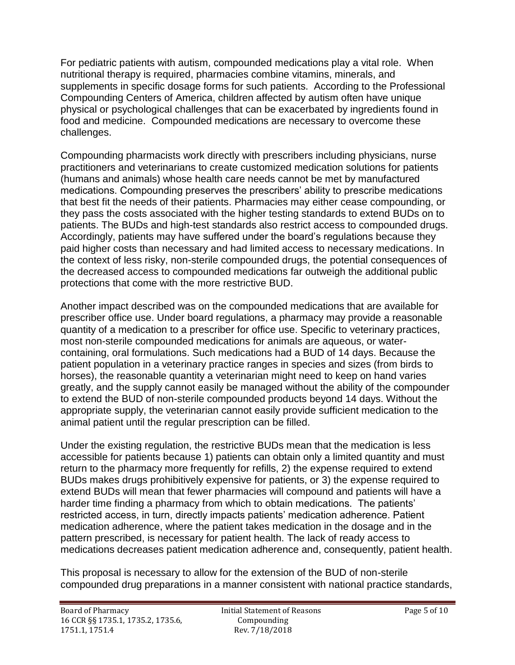For pediatric patients with autism, compounded medications play a vital role. When nutritional therapy is required, pharmacies combine vitamins, minerals, and supplements in specific dosage forms for such patients. According to the Professional Compounding Centers of America, children affected by autism often have unique physical or psychological challenges that can be exacerbated by ingredients found in food and medicine. Compounded medications are necessary to overcome these challenges.

Compounding pharmacists work directly with prescribers including physicians, nurse practitioners and veterinarians to create customized medication solutions for patients (humans and animals) whose health care needs cannot be met by manufactured medications. Compounding preserves the prescribers' ability to prescribe medications that best fit the needs of their patients. Pharmacies may either cease compounding, or they pass the costs associated with the higher testing standards to extend BUDs on to patients. The BUDs and high-test standards also restrict access to compounded drugs. Accordingly, patients may have suffered under the board's regulations because they paid higher costs than necessary and had limited access to necessary medications. In the context of less risky, non-sterile compounded drugs, the potential consequences of the decreased access to compounded medications far outweigh the additional public protections that come with the more restrictive BUD.

Another impact described was on the compounded medications that are available for prescriber office use. Under board regulations, a pharmacy may provide a reasonable quantity of a medication to a prescriber for office use. Specific to veterinary practices, most non-sterile compounded medications for animals are aqueous, or watercontaining, oral formulations. Such medications had a BUD of 14 days. Because the patient population in a veterinary practice ranges in species and sizes (from birds to horses), the reasonable quantity a veterinarian might need to keep on hand varies greatly, and the supply cannot easily be managed without the ability of the compounder to extend the BUD of non-sterile compounded products beyond 14 days. Without the appropriate supply, the veterinarian cannot easily provide sufficient medication to the animal patient until the regular prescription can be filled.

Under the existing regulation, the restrictive BUDs mean that the medication is less accessible for patients because 1) patients can obtain only a limited quantity and must return to the pharmacy more frequently for refills, 2) the expense required to extend BUDs makes drugs prohibitively expensive for patients, or 3) the expense required to extend BUDs will mean that fewer pharmacies will compound and patients will have a harder time finding a pharmacy from which to obtain medications. The patients' restricted access, in turn, directly impacts patients' medication adherence. Patient medication adherence, where the patient takes medication in the dosage and in the pattern prescribed, is necessary for patient health. The lack of ready access to medications decreases patient medication adherence and, consequently, patient health.

This proposal is necessary to allow for the extension of the BUD of non-sterile compounded drug preparations in a manner consistent with national practice standards,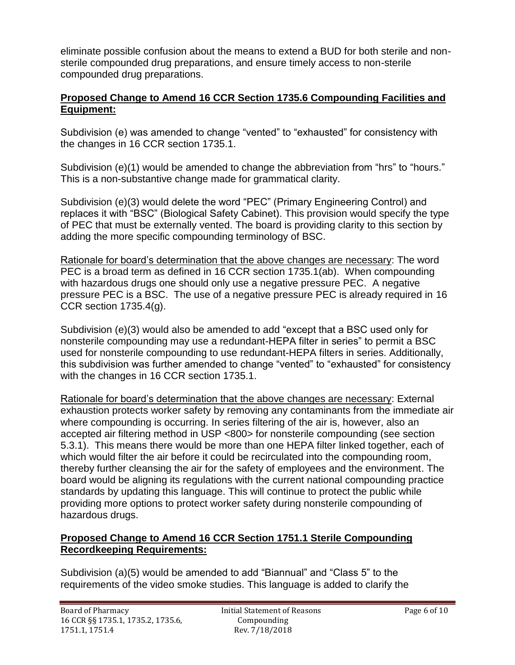eliminate possible confusion about the means to extend a BUD for both sterile and nonsterile compounded drug preparations, and ensure timely access to non-sterile compounded drug preparations.

#### **Proposed Change to Amend 16 CCR Section 1735.6 Compounding Facilities and Equipment:**

Subdivision (e) was amended to change "vented" to "exhausted" for consistency with the changes in 16 CCR section 1735.1.

Subdivision (e)(1) would be amended to change the abbreviation from "hrs" to "hours." This is a non-substantive change made for grammatical clarity.

Subdivision (e)(3) would delete the word "PEC" (Primary Engineering Control) and replaces it with "BSC" (Biological Safety Cabinet). This provision would specify the type of PEC that must be externally vented. The board is providing clarity to this section by adding the more specific compounding terminology of BSC.

Rationale for board's determination that the above changes are necessary: The word PEC is a broad term as defined in 16 CCR section 1735.1(ab). When compounding with hazardous drugs one should only use a negative pressure PEC. A negative pressure PEC is a BSC. The use of a negative pressure PEC is already required in 16 CCR section 1735.4(g).

Subdivision (e)(3) would also be amended to add "except that a BSC used only for nonsterile compounding may use a redundant-HEPA filter in series" to permit a BSC used for nonsterile compounding to use redundant-HEPA filters in series. Additionally, this subdivision was further amended to change "vented" to "exhausted" for consistency with the changes in 16 CCR section 1735.1.

Rationale for board's determination that the above changes are necessary: External exhaustion protects worker safety by removing any contaminants from the immediate air where compounding is occurring. In series filtering of the air is, however, also an accepted air filtering method in USP <800> for nonsterile compounding (see section 5.3.1). This means there would be more than one HEPA filter linked together, each of which would filter the air before it could be recirculated into the compounding room, thereby further cleansing the air for the safety of employees and the environment. The board would be aligning its regulations with the current national compounding practice standards by updating this language. This will continue to protect the public while providing more options to protect worker safety during nonsterile compounding of hazardous drugs.

#### **Proposed Change to Amend 16 CCR Section 1751.1 Sterile Compounding Recordkeeping Requirements:**

Subdivision (a)(5) would be amended to add "Biannual" and "Class 5" to the requirements of the video smoke studies. This language is added to clarify the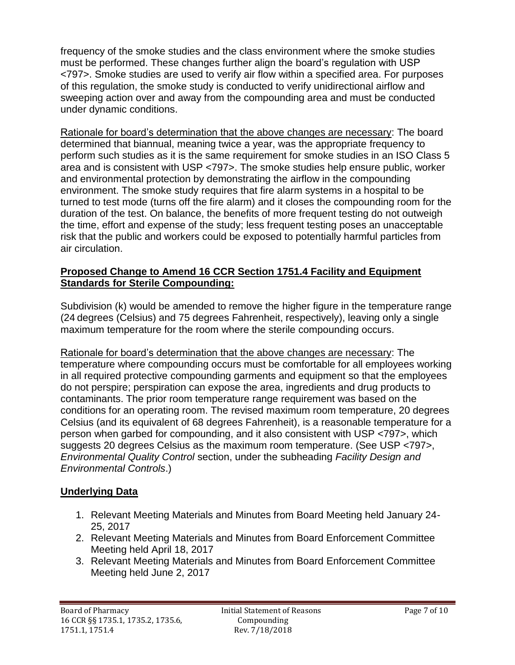frequency of the smoke studies and the class environment where the smoke studies must be performed. These changes further align the board's regulation with USP <797>. Smoke studies are used to verify air flow within a specified area. For purposes of this regulation, the smoke study is conducted to verify unidirectional airflow and sweeping action over and away from the compounding area and must be conducted under dynamic conditions.

Rationale for board's determination that the above changes are necessary: The board determined that biannual, meaning twice a year, was the appropriate frequency to perform such studies as it is the same requirement for smoke studies in an ISO Class 5 area and is consistent with USP <797>. The smoke studies help ensure public, worker and environmental protection by demonstrating the airflow in the compounding environment. The smoke study requires that fire alarm systems in a hospital to be turned to test mode (turns off the fire alarm) and it closes the compounding room for the duration of the test. On balance, the benefits of more frequent testing do not outweigh the time, effort and expense of the study; less frequent testing poses an unacceptable risk that the public and workers could be exposed to potentially harmful particles from air circulation.

### **Proposed Change to Amend 16 CCR Section 1751.4 Facility and Equipment Standards for Sterile Compounding:**

Subdivision (k) would be amended to remove the higher figure in the temperature range (24 degrees (Celsius) and 75 degrees Fahrenheit, respectively), leaving only a single maximum temperature for the room where the sterile compounding occurs.

Rationale for board's determination that the above changes are necessary: The temperature where compounding occurs must be comfortable for all employees working in all required protective compounding garments and equipment so that the employees do not perspire; perspiration can expose the area, ingredients and drug products to contaminants. The prior room temperature range requirement was based on the conditions for an operating room. The revised maximum room temperature, 20 degrees Celsius (and its equivalent of 68 degrees Fahrenheit), is a reasonable temperature for a person when garbed for compounding, and it also consistent with USP <797>, which suggests 20 degrees Celsius as the maximum room temperature. (See USP <797>, *Environmental Quality Control* section, under the subheading *Facility Design and Environmental Controls*.)

## **Underlying Data**

- 1. Relevant Meeting Materials and Minutes from Board Meeting held January 24- 25, 2017
- 2. Relevant Meeting Materials and Minutes from Board Enforcement Committee Meeting held April 18, 2017
- 3. Relevant Meeting Materials and Minutes from Board Enforcement Committee Meeting held June 2, 2017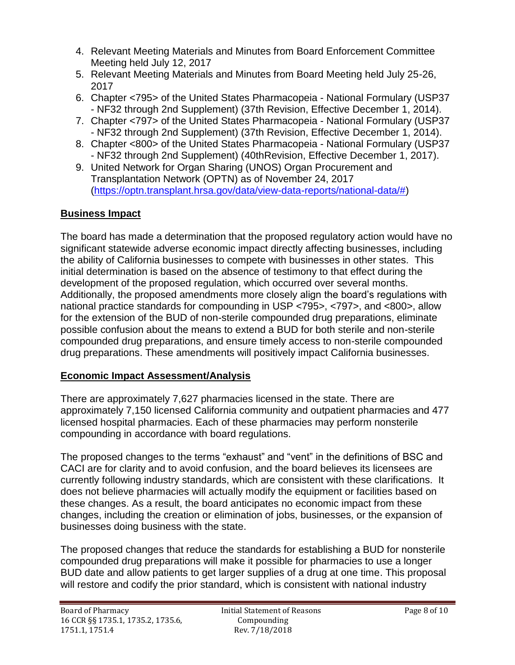- 4. Relevant Meeting Materials and Minutes from Board Enforcement Committee Meeting held July 12, 2017
- 5. Relevant Meeting Materials and Minutes from Board Meeting held July 25-26, 2017
- 6. Chapter <795> of the United States Pharmacopeia National Formulary (USP37 - NF32 through 2nd Supplement) (37th Revision, Effective December 1, 2014).
- 7. Chapter <797> of the United States Pharmacopeia National Formulary (USP37 - NF32 through 2nd Supplement) (37th Revision, Effective December 1, 2014).
- 8. Chapter <800> of the United States Pharmacopeia National Formulary (USP37 - NF32 through 2nd Supplement) (40thRevision, Effective December 1, 2017).
- 9. United Network for Organ Sharing (UNOS) Organ Procurement and Transplantation Network (OPTN) as of November 24, 2017 [\(https://optn.transplant.hrsa.gov/data/view-data-reports/national-data/#\)](https://optn.transplant.hrsa.gov/data/view-data-reports/national-data/)

## **Business Impact**

The board has made a determination that the proposed regulatory action would have no significant statewide adverse economic impact directly affecting businesses, including the ability of California businesses to compete with businesses in other states. This initial determination is based on the absence of testimony to that effect during the development of the proposed regulation, which occurred over several months. Additionally, the proposed amendments more closely align the board's regulations with national practice standards for compounding in USP <795>, <797>, and <800>, allow for the extension of the BUD of non-sterile compounded drug preparations, eliminate possible confusion about the means to extend a BUD for both sterile and non-sterile compounded drug preparations, and ensure timely access to non-sterile compounded drug preparations. These amendments will positively impact California businesses.

#### **Economic Impact Assessment/Analysis**

There are approximately 7,627 pharmacies licensed in the state. There are approximately 7,150 licensed California community and outpatient pharmacies and 477 licensed hospital pharmacies. Each of these pharmacies may perform nonsterile compounding in accordance with board regulations.

The proposed changes to the terms "exhaust" and "vent" in the definitions of BSC and CACI are for clarity and to avoid confusion, and the board believes its licensees are currently following industry standards, which are consistent with these clarifications. It does not believe pharmacies will actually modify the equipment or facilities based on these changes. As a result, the board anticipates no economic impact from these changes, including the creation or elimination of jobs, businesses, or the expansion of businesses doing business with the state.

The proposed changes that reduce the standards for establishing a BUD for nonsterile compounded drug preparations will make it possible for pharmacies to use a longer BUD date and allow patients to get larger supplies of a drug at one time. This proposal will restore and codify the prior standard, which is consistent with national industry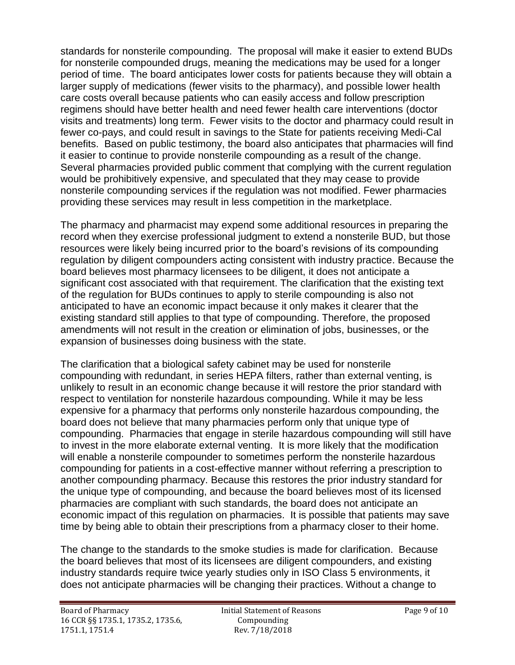standards for nonsterile compounding. The proposal will make it easier to extend BUDs for nonsterile compounded drugs, meaning the medications may be used for a longer period of time. The board anticipates lower costs for patients because they will obtain a larger supply of medications (fewer visits to the pharmacy), and possible lower health care costs overall because patients who can easily access and follow prescription regimens should have better health and need fewer health care interventions (doctor visits and treatments) long term. Fewer visits to the doctor and pharmacy could result in fewer co-pays, and could result in savings to the State for patients receiving Medi-Cal benefits. Based on public testimony, the board also anticipates that pharmacies will find it easier to continue to provide nonsterile compounding as a result of the change. Several pharmacies provided public comment that complying with the current regulation would be prohibitively expensive, and speculated that they may cease to provide nonsterile compounding services if the regulation was not modified. Fewer pharmacies providing these services may result in less competition in the marketplace.

The pharmacy and pharmacist may expend some additional resources in preparing the record when they exercise professional judgment to extend a nonsterile BUD, but those resources were likely being incurred prior to the board's revisions of its compounding regulation by diligent compounders acting consistent with industry practice. Because the board believes most pharmacy licensees to be diligent, it does not anticipate a significant cost associated with that requirement. The clarification that the existing text of the regulation for BUDs continues to apply to sterile compounding is also not anticipated to have an economic impact because it only makes it clearer that the existing standard still applies to that type of compounding. Therefore, the proposed amendments will not result in the creation or elimination of jobs, businesses, or the expansion of businesses doing business with the state.

The clarification that a biological safety cabinet may be used for nonsterile compounding with redundant, in series HEPA filters, rather than external venting, is unlikely to result in an economic change because it will restore the prior standard with respect to ventilation for nonsterile hazardous compounding. While it may be less expensive for a pharmacy that performs only nonsterile hazardous compounding, the board does not believe that many pharmacies perform only that unique type of compounding. Pharmacies that engage in sterile hazardous compounding will still have to invest in the more elaborate external venting. It is more likely that the modification will enable a nonsterile compounder to sometimes perform the nonsterile hazardous compounding for patients in a cost-effective manner without referring a prescription to another compounding pharmacy. Because this restores the prior industry standard for the unique type of compounding, and because the board believes most of its licensed pharmacies are compliant with such standards, the board does not anticipate an economic impact of this regulation on pharmacies. It is possible that patients may save time by being able to obtain their prescriptions from a pharmacy closer to their home.

The change to the standards to the smoke studies is made for clarification. Because the board believes that most of its licensees are diligent compounders, and existing industry standards require twice yearly studies only in ISO Class 5 environments, it does not anticipate pharmacies will be changing their practices. Without a change to